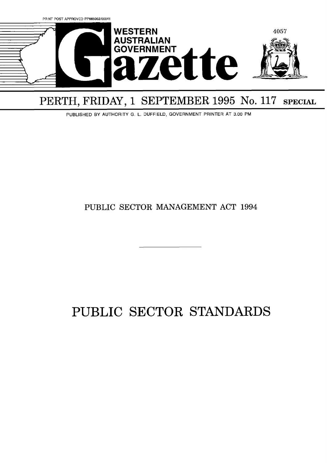

# PERTH, FRIDAY, 1 SEPTEMBER 1995 No. 117 SPECIAL

PUBLISHED BY AUTHORITY G. L. DUFFIELD, GOVERNMENT PRINTER AT 3.00 PM

# PUBLIC SECTOR MANAGEMENT ACT 1994

# PUBLIC SECTOR STANDARDS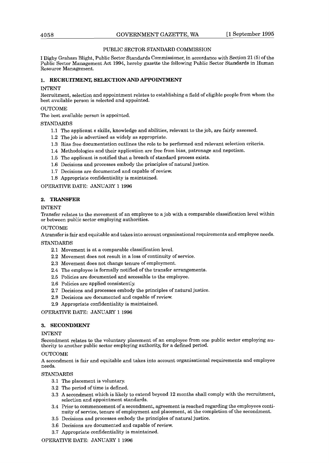# PUBLIC SECTOR STANDARD COMMISSION

I Digby Graham Blight, Public Sector Standards Commissioner, in accordance with Section 21 (5) of the Public Sector Management Act 1994, hereby gazette the following Public Sector Standards in Human Resource Management.

# **1. RECRUITMENT, SELECTION AND APPOINTMENT**

# INTENT

Recruitment, selection and appointment relates to establishing a field of eligible people from whom the best available person is selected and appointed.

## **OUTCOME**

The best available person is appointed.

# STANDARDS

- 1.1 The applicant s skills, knowledge and abilities, relevant to the job, are fairly assessed.
- 1.2 The job is advertised as widely as appropriate.
- 1.3 Bias free documentation outlines the role to be performed and relevant selection criteria.
- 1.4 Methodologies and their application are free from bias, patronage and nepotism.
- 1.5 The applicant is notified that a breach of standard process exists.
- 1.6 Decisions and processes embody the principles of natural justice.
- 1.7 Decisions are documented and capable of review.
- 1.8 Appropriate confidentiality is maintained.

OPERATIVE DATE: JANUARY **1** 1996

# **2. TRANSFER**

# INTENT

Transfer relates to the movement of an employee to a job with a comparable classification level within or between public sector employing authorities.

# **OUTCOME**

Atransfer is fair and equitable and takes into account organisational requirements and employee needs.

# STANDARDS

- 2.1 Movement is at a comparable classification level.
- 2.2 Movement does not result in a loss of continuity of service.
- 2.3 Movement does not change tenure of employment.
- 2.4 The employee is formally notified of the transfer arrangements.
- **2.5** Policies are documented and accessible to the employee.
- 2.6 Policies are applied consistently.
- 2.7 Decisions and processes embody the principles of natural justice.
- 2.8 Decisions are documented and capable of review.
- 2.9 Appropriate confidentiality is maintained.

OPERATIVE DATE: JANUARY **1** 1996

# **3. SECONDMENT**

#### INTENT

Secondment relates to the voluntary placement of an employee from one public sector employing authority to another public sector employing authority, for a defined period.

# OUTCOME

A secondment is fair and equitable and takes into account organisational requirements and employee needs.

# STANDARDS

- 3.1 The placement is voluntary
- 3.2 The period of time is defined.
- 3.3 A secondment which is likely to extend beyond 12 months shall comply with the recruitment, selection and appointment standards.
- 3.4 Prior to commencement of a secondment, agreement is reached regarding the employees continuity of service, tenure of employment and placement, at the completion of the secondment.
- 3.5 Decisions and processes embody the principles of natural justice.
- 3.6 Decisions are documented and capable of review.
- 3.7 Appropriate confidentiality is maintained.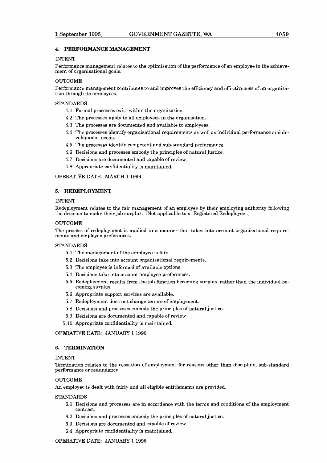#### **4. PERFORMANCE MANAGEMENT**

#### INTENT

Performance management relates to the optimisation of the performance of an employee in the achievement of organisational goals.

# OUTCOME

Performance management contributes to and improves the efficiency and effectiveness of an organisation through its employees.

#### STANDARDS

- 4.1 Formal processes exist within the organisation.
- 4.2 The processes apply to all employees in the organisation.
- 4.3 The processes are documented and available to employees.
- 4.4 The processes identify organisational requirements as well as individual performance and development needs.
- 4.5 The processes identify competent and sub-standard performance.
- 4.6 Decisions and processes embody the principles of natural justice.
- 4.7 Decisions are documented and capable of review.
- 4.8 Appropriate confidentiality is maintained.

OPERATIVE DATE: MARCH **1** 1996

## **5. REDEPLOYMENT**

#### INTENT

Redeployment relates to the fair management of an employee by their employing authority following the decision to make their job surplus. (Not applicable to a Registered Redeployee .)

#### **OUTCOME**

The process of redeployment is applied in a manner that takes into account organisational requirements and employee preferences.

## STANDARDS

- 5.1 The management of the employee is fair.
- 5.2 Decisions take into account organisational requirements.
- 5.3 The employee is informed of available options.
- 5.4 Decisions take into account employee preferences.
- 5.5 Redeployment results from the job function becoming surplus, rather than the individual becoming surplus.
- 5.6 Appropriate support services are available.
- 5.7 Redeployment does not change tenure of employment.
- 5.8 Decisions and processes embody the principles of natural justice.
- 5.9 Decisions are documented and capable of review.
- 5.10 Appropriate confidentiality is maintained.

OPERATIVE DATE: JANUARY 1 **<sup>1996</sup>**

#### **6. TERMINATION**

#### INTENT

Termination relates to the cessation of employment for reasons other than discipline, sub-standard performance or redundancy.

#### OUTCOME

An employee is dealt with fairly and all eligible entitlements are provided.

#### STANDARDS

- 6.1 Decisions and processes are in accordance with the terms and conditions of the employment contract.
- 6.2 Decisions and processes embody the principles of natural justice.
- 6.3 Decisions are documented and capable of review.
- 6.4 Appropriate confidentiality is maintained.